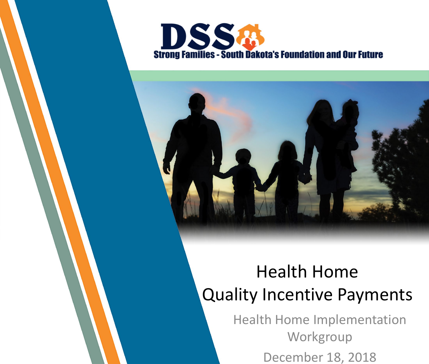



#### Health Home Quality Incentive Payments

Health Home Implementation **Workgroup** December 18, 2018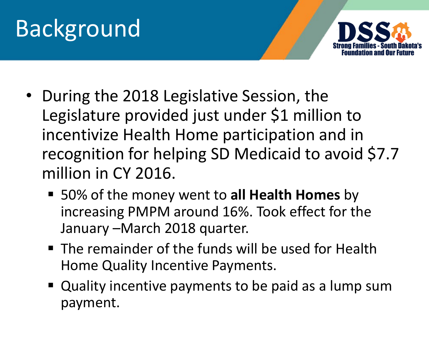

- During the 2018 Legislative Session, the Legislature provided just under \$1 million to incentivize Health Home participation and in recognition for helping SD Medicaid to avoid \$7.7 million in CY 2016.
	- 50% of the money went to **all Health Homes** by increasing PMPM around 16%. Took effect for the January –March 2018 quarter.
	- The remainder of the funds will be used for Health Home Quality Incentive Payments.
	- **Quality incentive payments to be paid as a lump sum** payment.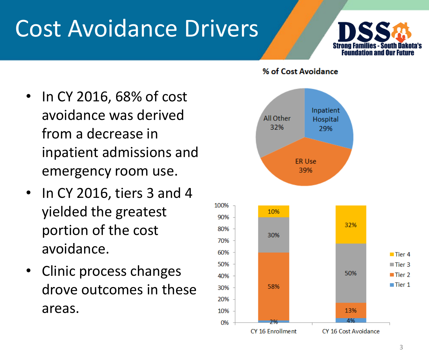### Cost Avoidance Drivers



- In CY 2016, 68% of cost avoidance was derived from a decrease in inpatient admissions and emergency room use.
- In CY 2016, tiers 3 and 4 yielded the greatest portion of the cost avoidance.
- Clinic process changes drove outcomes in these areas.

#### % of Cost Avoidance

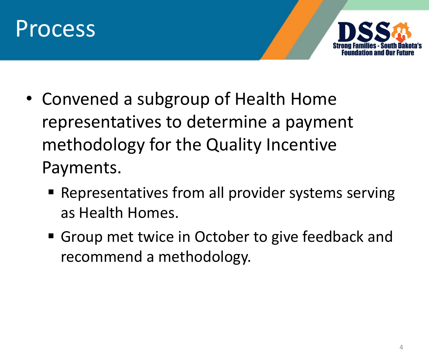



- Convened a subgroup of Health Home representatives to determine a payment methodology for the Quality Incentive Payments.
	- Representatives from all provider systems serving as Health Homes.
	- Group met twice in October to give feedback and recommend a methodology.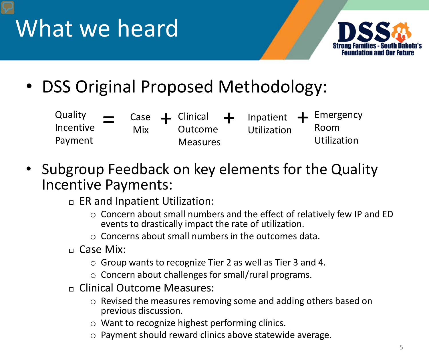



• DSS Original Proposed Methodology:

| Quality<br>Incentive | $\equiv$ | Mix. | Outcome         | Utilization | Case $\leftarrow$ Clinical $\leftarrow$ Inpatient $\leftarrow$ Emergency<br>Room |  |
|----------------------|----------|------|-----------------|-------------|----------------------------------------------------------------------------------|--|
| Payment              |          |      | <b>Measures</b> |             | Utilization                                                                      |  |

- Subgroup Feedback on key elements for the Quality Incentive Payments:
	- $\Box$  ER and Inpatient Utilization:
		- o Concern about small numbers and the effect of relatively few IP and ED events to drastically impact the rate of utilization.
		- $\circ$  Concerns about small numbers in the outcomes data.
	- Case Mix:
		- o Group wants to recognize Tier 2 as well as Tier 3 and 4.
		- o Concern about challenges for small/rural programs.
	- Clinical Outcome Measures:
		- o Revised the measures removing some and adding others based on previous discussion.
		- o Want to recognize highest performing clinics.
		- o Payment should reward clinics above statewide average.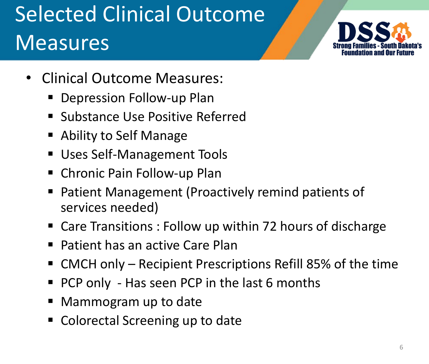### Selected Clinical Outcome Measures



- Clinical Outcome Measures:
	- Depression Follow-up Plan
	- **Substance Use Positive Referred**
	- Ability to Self Manage
	- **Uses Self-Management Tools**
	- Chronic Pain Follow-up Plan
	- Patient Management (Proactively remind patients of services needed)
	- Care Transitions : Follow up within 72 hours of discharge
	- Patient has an active Care Plan
	- CMCH only Recipient Prescriptions Refill 85% of the time
	- PCP only Has seen PCP in the last 6 months
	- Mammogram up to date
	- Colorectal Screening up to date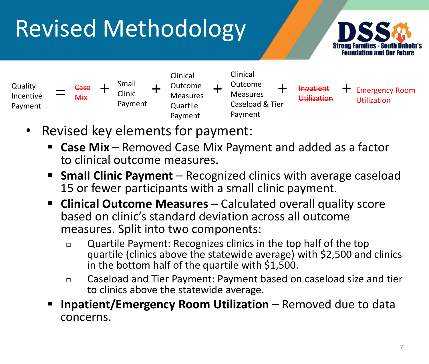# Revised Methodology





- Revised key elements for payment:
	- **Case Mix**  Removed Case Mix Payment and added as a factor to clinical outcome measures.
	- **Small Clinic Payment** Recognized clinics with average caseload 15 or fewer participants with a small clinic payment.
	- **E** Clinical Outcome Measures Calculated overall quality score based on clinic's standard deviation across all outcome measures. Split into two components:
		- Quartile Payment: Recognizes clinics in the top half of the top quartile (clinics above the statewide average) with \$2,500 and clinics in the bottom half of the quartile with \$1,500.
		- Caseload and Tier Payment: Payment based on caseload size and tier to clinics above the statewide average.
	- **Inpatient/Emergency Room Utilization**  Removed due to data concerns.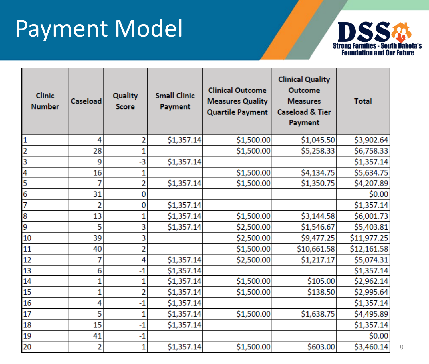## Payment Model



| <b>Clinic</b><br><b>Number</b> | Caseload | <b>Quality</b><br><b>Score</b> | <b>Small Clinic</b><br><b>Payment</b> | <b>Clinical Outcome</b><br><b>Measures Quality</b><br><b>Quartile Payment</b> | <b>Clinical Quality</b><br><b>Outcome</b><br><b>Measures</b><br><b>Caseload &amp; Tier</b><br>Payment | <b>Total</b> |
|--------------------------------|----------|--------------------------------|---------------------------------------|-------------------------------------------------------------------------------|-------------------------------------------------------------------------------------------------------|--------------|
| $\mathbf{1}$                   | 4        | 2                              | \$1,357.14                            | \$1,500.00                                                                    | \$1,045.50                                                                                            | \$3,902.64   |
| 2                              | 28       | 1                              |                                       | \$1,500.00                                                                    | \$5,258.33                                                                                            | \$6,758.33   |
| 3                              | 9        | $-3$                           | \$1,357.14                            |                                                                               |                                                                                                       | \$1,357.14   |
| 4                              | 16       | 1                              |                                       | \$1,500.00                                                                    | \$4,134.75                                                                                            | \$5,634.75   |
| 5                              |          | $\overline{2}$                 | \$1,357.14                            | \$1,500.00                                                                    | \$1,350.75                                                                                            | \$4,207.89   |
| 6                              | 31       | 0                              |                                       |                                                                               |                                                                                                       | \$0.00       |
| 7                              | 2        | 0                              | \$1,357.14                            |                                                                               |                                                                                                       | \$1,357.14   |
| 8                              | 13       | 1                              | \$1,357.14                            | \$1,500.00                                                                    | \$3,144.58                                                                                            | \$6,001.73   |
| 9                              | 5        | 3                              | \$1,357.14                            | \$2,500.00                                                                    | \$1,546.67                                                                                            | \$5,403.81   |
| 10                             | 39       | 3                              |                                       | \$2,500.00                                                                    | \$9,477.25                                                                                            | \$11,977.25  |
| 11                             | 40       | 2                              |                                       | \$1,500.00                                                                    | \$10,661.58                                                                                           | \$12,161.58  |
| 12                             | 7        | 4                              | \$1,357.14                            | \$2,500.00                                                                    | \$1,217.17                                                                                            | \$5,074.31   |
| 13                             | 6        | $-1$                           | \$1,357.14                            |                                                                               |                                                                                                       | \$1,357.14   |
| 14                             |          | 1                              | \$1,357.14                            | \$1,500.00                                                                    | \$105.00                                                                                              | \$2,962.14   |
| 15                             |          | 2                              | \$1,357.14                            | \$1,500.00                                                                    | \$138.50                                                                                              | \$2,995.64   |
| 16                             | 4        | $-1$                           | \$1,357.14                            |                                                                               |                                                                                                       | \$1,357.14   |
| 17                             | 5        | 1                              | \$1,357.14                            | \$1,500.00                                                                    | \$1,638.75                                                                                            | \$4,495.89   |
| 18                             | 15       | $-1$                           | \$1,357.14                            |                                                                               |                                                                                                       | \$1,357.14   |
| 19                             | 41       | $-1$                           |                                       |                                                                               |                                                                                                       | \$0.00       |
| 20                             | 2        | 1                              | \$1,357.14                            | \$1,500.00                                                                    | \$603.00                                                                                              | \$3,460.14   |

8